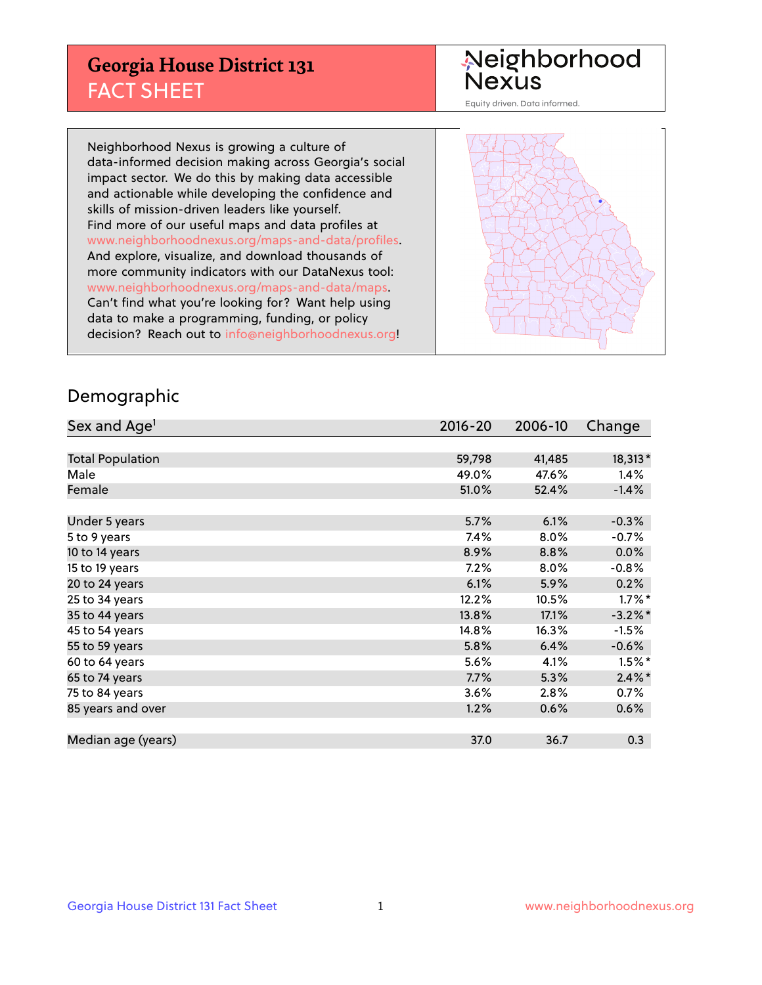## **Georgia House District 131** FACT SHEET

# Neighborhood<br>Nexus

Equity driven. Data informed.

Neighborhood Nexus is growing a culture of data-informed decision making across Georgia's social impact sector. We do this by making data accessible and actionable while developing the confidence and skills of mission-driven leaders like yourself. Find more of our useful maps and data profiles at www.neighborhoodnexus.org/maps-and-data/profiles. And explore, visualize, and download thousands of more community indicators with our DataNexus tool: www.neighborhoodnexus.org/maps-and-data/maps. Can't find what you're looking for? Want help using data to make a programming, funding, or policy decision? Reach out to [info@neighborhoodnexus.org!](mailto:info@neighborhoodnexus.org)



### Demographic

| Sex and Age <sup>1</sup> | $2016 - 20$ | 2006-10 | Change     |
|--------------------------|-------------|---------|------------|
|                          |             |         |            |
| <b>Total Population</b>  | 59,798      | 41,485  | 18,313*    |
| Male                     | 49.0%       | 47.6%   | 1.4%       |
| Female                   | 51.0%       | 52.4%   | $-1.4%$    |
|                          |             |         |            |
| Under 5 years            | 5.7%        | 6.1%    | $-0.3%$    |
| 5 to 9 years             | $7.4\%$     | 8.0%    | $-0.7\%$   |
| 10 to 14 years           | 8.9%        | 8.8%    | 0.0%       |
| 15 to 19 years           | 7.2%        | 8.0%    | $-0.8%$    |
| 20 to 24 years           | 6.1%        | 5.9%    | 0.2%       |
| 25 to 34 years           | 12.2%       | 10.5%   | $1.7\%$ *  |
| 35 to 44 years           | 13.8%       | 17.1%   | $-3.2\%$ * |
| 45 to 54 years           | 14.8%       | 16.3%   | $-1.5%$    |
| 55 to 59 years           | 5.8%        | 6.4%    | $-0.6%$    |
| 60 to 64 years           | 5.6%        | 4.1%    | $1.5\%$ *  |
| 65 to 74 years           | 7.7%        | 5.3%    | $2.4\%$ *  |
| 75 to 84 years           | 3.6%        | 2.8%    | 0.7%       |
| 85 years and over        | 1.2%        | 0.6%    | 0.6%       |
|                          |             |         |            |
| Median age (years)       | 37.0        | 36.7    | 0.3        |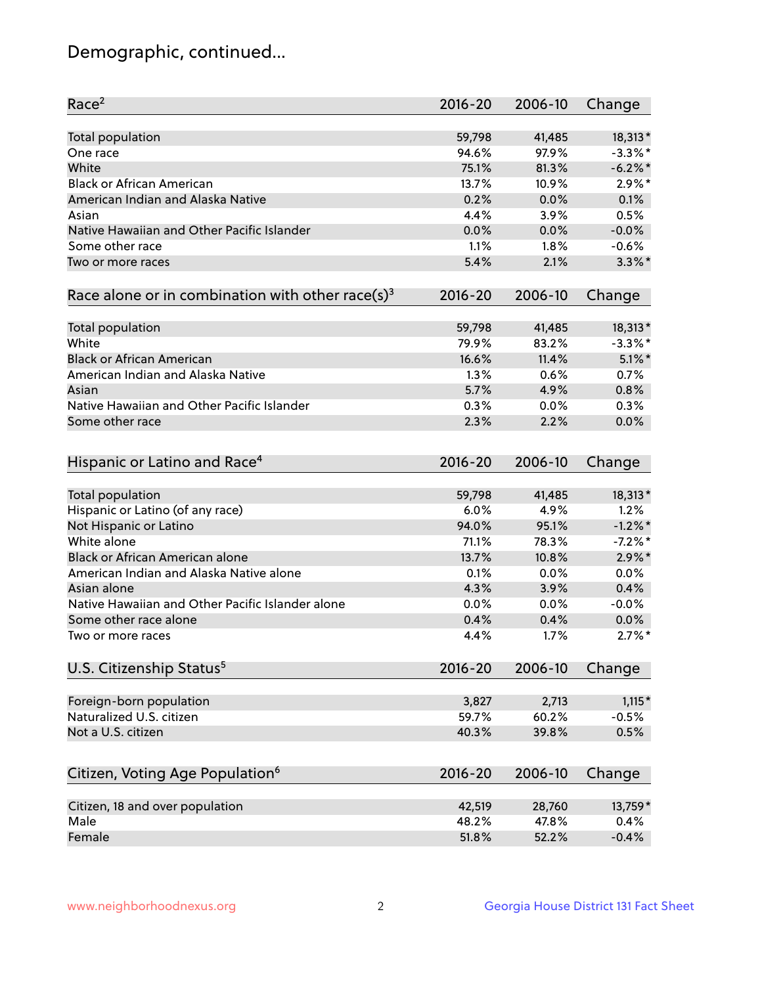## Demographic, continued...

| Race <sup>2</sup>                                            | $2016 - 20$ | 2006-10 | Change                  |
|--------------------------------------------------------------|-------------|---------|-------------------------|
| <b>Total population</b>                                      | 59,798      | 41,485  | 18,313*                 |
| One race                                                     | 94.6%       | 97.9%   | $-3.3\%$ *              |
| White                                                        | 75.1%       | 81.3%   | $-6.2\%$ *              |
| <b>Black or African American</b>                             | 13.7%       | 10.9%   | $2.9\%$ *               |
| American Indian and Alaska Native                            | 0.2%        | 0.0%    | 0.1%                    |
| Asian                                                        | 4.4%        | 3.9%    | 0.5%                    |
| Native Hawaiian and Other Pacific Islander                   | 0.0%        | 0.0%    | $-0.0%$                 |
| Some other race                                              | 1.1%        | 1.8%    | $-0.6%$                 |
| Two or more races                                            | 5.4%        | 2.1%    | $3.3\%$ *               |
| Race alone or in combination with other race(s) <sup>3</sup> | $2016 - 20$ | 2006-10 | Change                  |
|                                                              |             | 41,485  |                         |
| Total population<br>White                                    | 59,798      | 83.2%   | $18,313*$<br>$-3.3\%$ * |
|                                                              | 79.9%       | 11.4%   |                         |
| <b>Black or African American</b>                             | 16.6%       |         | $5.1\%$ *               |
| American Indian and Alaska Native                            | 1.3%        | 0.6%    | 0.7%                    |
| Asian                                                        | 5.7%        | 4.9%    | 0.8%                    |
| Native Hawaiian and Other Pacific Islander                   | 0.3%        | 0.0%    | 0.3%                    |
| Some other race                                              | 2.3%        | 2.2%    | 0.0%                    |
| Hispanic or Latino and Race <sup>4</sup>                     | $2016 - 20$ | 2006-10 | Change                  |
| <b>Total population</b>                                      | 59,798      | 41,485  | 18,313*                 |
| Hispanic or Latino (of any race)                             | 6.0%        | 4.9%    | 1.2%                    |
| Not Hispanic or Latino                                       | 94.0%       | 95.1%   | $-1.2\%$ *              |
| White alone                                                  | 71.1%       | 78.3%   | $-7.2%$ *               |
| Black or African American alone                              | 13.7%       | 10.8%   | $2.9\%$ *               |
| American Indian and Alaska Native alone                      | 0.1%        | 0.0%    | 0.0%                    |
| Asian alone                                                  | 4.3%        | 3.9%    | 0.4%                    |
| Native Hawaiian and Other Pacific Islander alone             |             |         | $-0.0%$                 |
|                                                              | $0.0\%$     | 0.0%    |                         |
| Some other race alone                                        | 0.4%        | 0.4%    | 0.0%                    |
| Two or more races                                            | 4.4%        | 1.7%    | $2.7\%$ *               |
| U.S. Citizenship Status <sup>5</sup>                         | $2016 - 20$ | 2006-10 | Change                  |
| Foreign-born population                                      | 3,827       | 2,713   | $1,115*$                |
| Naturalized U.S. citizen                                     | 59.7%       | 60.2%   | $-0.5%$                 |
| Not a U.S. citizen                                           | 40.3%       | 39.8%   | 0.5%                    |
|                                                              |             |         |                         |
| Citizen, Voting Age Population <sup>6</sup>                  | $2016 - 20$ | 2006-10 | Change                  |
| Citizen, 18 and over population                              | 42,519      | 28,760  | 13,759*                 |
| Male                                                         | 48.2%       | 47.8%   | 0.4%                    |
| Female                                                       | 51.8%       | 52.2%   | $-0.4%$                 |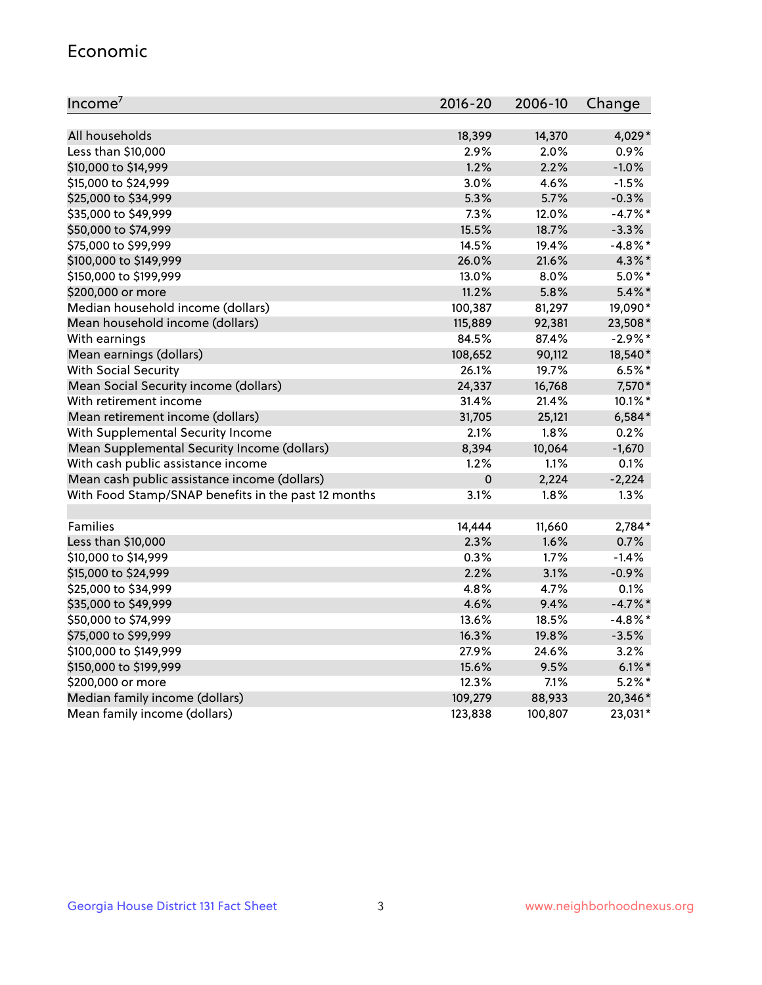#### Economic

| Income <sup>7</sup>                                 | 2016-20     | 2006-10 | Change     |
|-----------------------------------------------------|-------------|---------|------------|
|                                                     |             |         |            |
| All households                                      | 18,399      | 14,370  | 4,029*     |
| Less than \$10,000                                  | 2.9%        | 2.0%    | 0.9%       |
| \$10,000 to \$14,999                                | 1.2%        | 2.2%    | $-1.0%$    |
| \$15,000 to \$24,999                                | 3.0%        | 4.6%    | $-1.5%$    |
| \$25,000 to \$34,999                                | 5.3%        | 5.7%    | $-0.3%$    |
| \$35,000 to \$49,999                                | 7.3%        | 12.0%   | $-4.7%$ *  |
| \$50,000 to \$74,999                                | 15.5%       | 18.7%   | $-3.3%$    |
| \$75,000 to \$99,999                                | 14.5%       | 19.4%   | $-4.8\%$ * |
| \$100,000 to \$149,999                              | 26.0%       | 21.6%   | 4.3%*      |
| \$150,000 to \$199,999                              | 13.0%       | 8.0%    | $5.0\%$ *  |
| \$200,000 or more                                   | 11.2%       | 5.8%    | $5.4\%$ *  |
| Median household income (dollars)                   | 100,387     | 81,297  | 19,090*    |
| Mean household income (dollars)                     | 115,889     | 92,381  | 23,508*    |
| With earnings                                       | 84.5%       | 87.4%   | $-2.9\%*$  |
| Mean earnings (dollars)                             | 108,652     | 90,112  | 18,540*    |
| <b>With Social Security</b>                         | 26.1%       | 19.7%   | $6.5%$ *   |
| Mean Social Security income (dollars)               | 24,337      | 16,768  | 7,570*     |
| With retirement income                              | 31.4%       | 21.4%   | 10.1%*     |
| Mean retirement income (dollars)                    | 31,705      | 25,121  | $6,584*$   |
| With Supplemental Security Income                   | 2.1%        | 1.8%    | 0.2%       |
| Mean Supplemental Security Income (dollars)         | 8,394       | 10,064  | $-1,670$   |
| With cash public assistance income                  | 1.2%        | 1.1%    | 0.1%       |
| Mean cash public assistance income (dollars)        | $\mathbf 0$ | 2,224   | $-2,224$   |
| With Food Stamp/SNAP benefits in the past 12 months | 3.1%        | 1.8%    | 1.3%       |
|                                                     |             |         |            |
| Families                                            | 14,444      | 11,660  | 2,784*     |
| Less than \$10,000                                  | 2.3%        | 1.6%    | 0.7%       |
| \$10,000 to \$14,999                                | 0.3%        | 1.7%    | $-1.4%$    |
| \$15,000 to \$24,999                                | 2.2%        | 3.1%    | $-0.9%$    |
| \$25,000 to \$34,999                                | 4.8%        | 4.7%    | 0.1%       |
| \$35,000 to \$49,999                                | 4.6%        | 9.4%    | $-4.7\%$ * |
| \$50,000 to \$74,999                                | 13.6%       | 18.5%   | $-4.8\%$ * |
| \$75,000 to \$99,999                                | 16.3%       | 19.8%   | $-3.5%$    |
| \$100,000 to \$149,999                              | 27.9%       | 24.6%   | 3.2%       |
| \$150,000 to \$199,999                              | 15.6%       | 9.5%    | $6.1\%$ *  |
| \$200,000 or more                                   | 12.3%       | 7.1%    | $5.2\%$ *  |
| Median family income (dollars)                      | 109,279     | 88,933  | 20,346*    |
| Mean family income (dollars)                        | 123,838     | 100,807 | 23,031*    |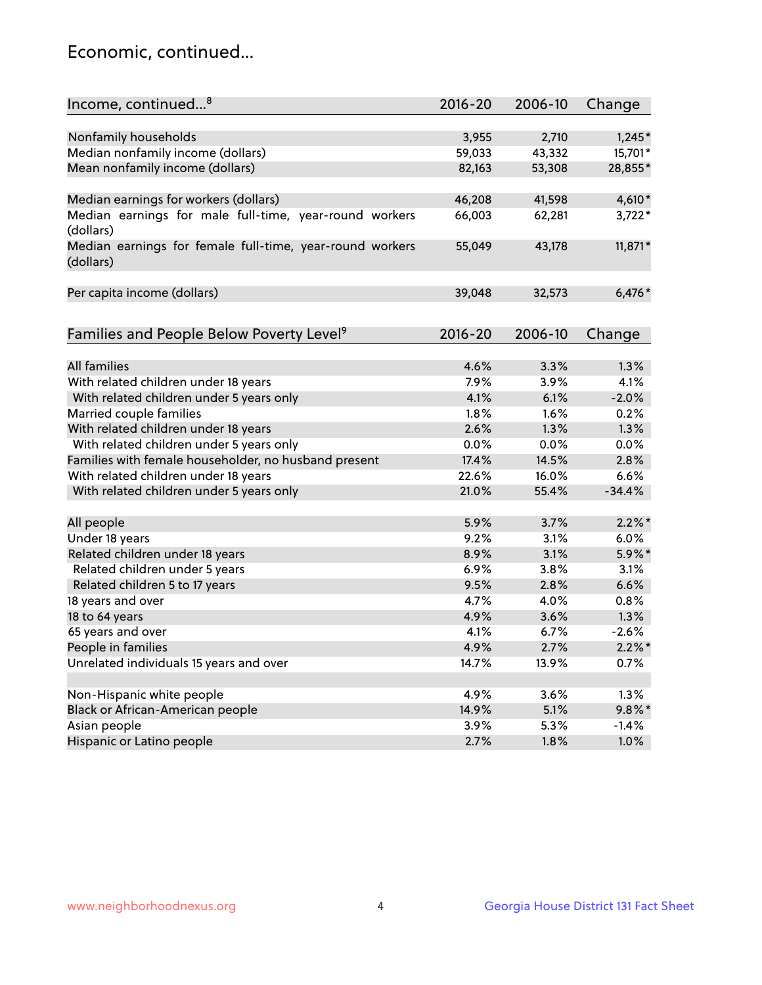## Economic, continued...

| Income, continued <sup>8</sup>                                        | $2016 - 20$ | 2006-10 | Change    |
|-----------------------------------------------------------------------|-------------|---------|-----------|
|                                                                       |             |         |           |
| Nonfamily households                                                  | 3,955       | 2,710   | $1,245*$  |
| Median nonfamily income (dollars)                                     | 59,033      | 43,332  | 15,701*   |
| Mean nonfamily income (dollars)                                       | 82,163      | 53,308  | 28,855*   |
| Median earnings for workers (dollars)                                 | 46,208      | 41,598  | 4,610*    |
| Median earnings for male full-time, year-round workers<br>(dollars)   | 66,003      | 62,281  | $3,722*$  |
| Median earnings for female full-time, year-round workers<br>(dollars) | 55,049      | 43,178  | $11,871*$ |
| Per capita income (dollars)                                           | 39,048      | 32,573  | $6,476*$  |
| Families and People Below Poverty Level <sup>9</sup>                  | $2016 - 20$ | 2006-10 | Change    |
|                                                                       |             |         |           |
| <b>All families</b>                                                   | 4.6%        | 3.3%    | 1.3%      |
| With related children under 18 years                                  | 7.9%        | 3.9%    | 4.1%      |
| With related children under 5 years only                              | 4.1%        | 6.1%    | $-2.0%$   |
| Married couple families                                               | 1.8%        | 1.6%    | 0.2%      |
| With related children under 18 years                                  | 2.6%        | 1.3%    | 1.3%      |
| With related children under 5 years only                              | 0.0%        | 0.0%    | 0.0%      |
| Families with female householder, no husband present                  | 17.4%       | 14.5%   | 2.8%      |
| With related children under 18 years                                  | 22.6%       | 16.0%   | 6.6%      |
| With related children under 5 years only                              | 21.0%       | 55.4%   | $-34.4%$  |
| All people                                                            | 5.9%        | 3.7%    | $2.2\%$ * |
| Under 18 years                                                        | 9.2%        | 3.1%    | 6.0%      |
| Related children under 18 years                                       | 8.9%        | 3.1%    | $5.9\%$ * |
| Related children under 5 years                                        | 6.9%        | 3.8%    | 3.1%      |
| Related children 5 to 17 years                                        | 9.5%        | 2.8%    | 6.6%      |
| 18 years and over                                                     | 4.7%        | 4.0%    | 0.8%      |
| 18 to 64 years                                                        | 4.9%        | 3.6%    | 1.3%      |
| 65 years and over                                                     | 4.1%        | 6.7%    | $-2.6%$   |
| People in families                                                    | 4.9%        | 2.7%    | $2.2\%$ * |
| Unrelated individuals 15 years and over                               | 14.7%       | 13.9%   | 0.7%      |
|                                                                       |             |         |           |
| Non-Hispanic white people                                             | 4.9%        | 3.6%    | 1.3%      |
| Black or African-American people                                      | 14.9%       | 5.1%    | $9.8\%$ * |
| Asian people                                                          | 3.9%        | 5.3%    | $-1.4%$   |
| Hispanic or Latino people                                             | 2.7%        | 1.8%    | $1.0\%$   |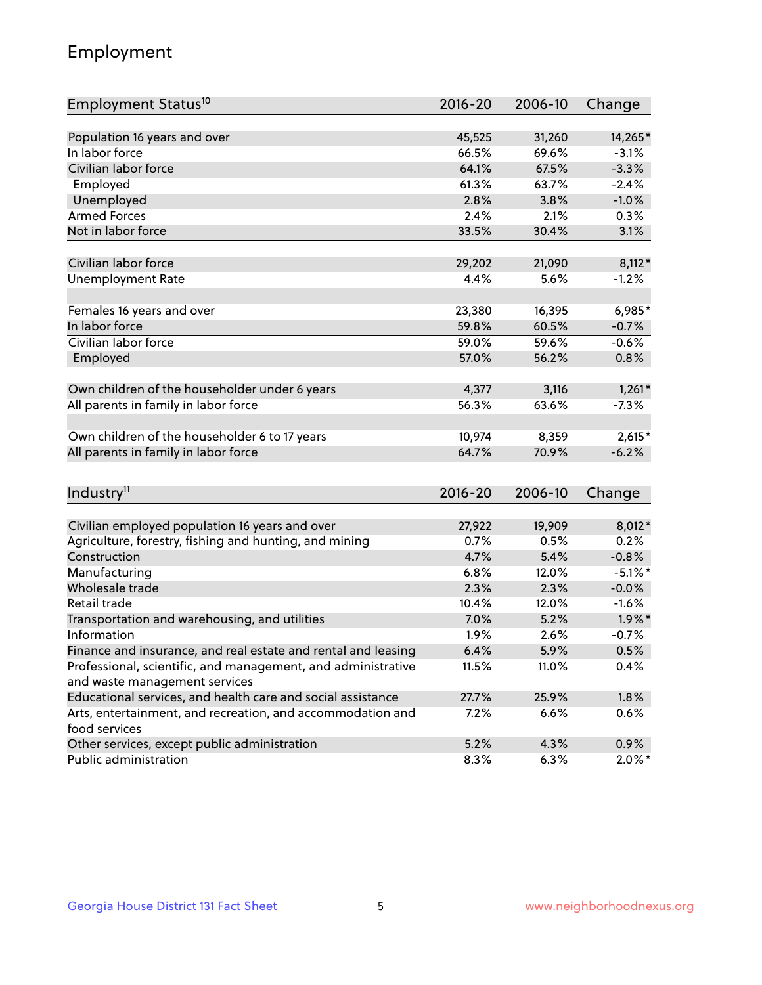## Employment

| Employment Status <sup>10</sup>                               | $2016 - 20$ | 2006-10 | Change     |
|---------------------------------------------------------------|-------------|---------|------------|
|                                                               |             |         |            |
| Population 16 years and over                                  | 45,525      | 31,260  | 14,265*    |
| In labor force                                                | 66.5%       | 69.6%   | $-3.1%$    |
| Civilian labor force                                          | 64.1%       | 67.5%   | $-3.3%$    |
| Employed                                                      | 61.3%       | 63.7%   | $-2.4%$    |
| Unemployed                                                    | 2.8%        | 3.8%    | $-1.0%$    |
| <b>Armed Forces</b>                                           | 2.4%        | 2.1%    | 0.3%       |
| Not in labor force                                            | 33.5%       | 30.4%   | 3.1%       |
|                                                               |             |         |            |
| Civilian labor force                                          | 29,202      | 21,090  | $8,112*$   |
| <b>Unemployment Rate</b>                                      | 4.4%        | 5.6%    | $-1.2%$    |
| Females 16 years and over                                     | 23,380      | 16,395  | $6,985*$   |
| In labor force                                                | 59.8%       | 60.5%   | $-0.7%$    |
| Civilian labor force                                          | 59.0%       | 59.6%   | $-0.6%$    |
| Employed                                                      | 57.0%       | 56.2%   | 0.8%       |
|                                                               |             |         |            |
| Own children of the householder under 6 years                 | 4,377       | 3,116   | $1,261*$   |
| All parents in family in labor force                          | 56.3%       | 63.6%   | $-7.3%$    |
|                                                               |             |         |            |
| Own children of the householder 6 to 17 years                 | 10,974      | 8,359   | $2,615*$   |
| All parents in family in labor force                          | 64.7%       | 70.9%   | $-6.2%$    |
|                                                               |             |         |            |
| Industry <sup>11</sup>                                        | $2016 - 20$ | 2006-10 | Change     |
| Civilian employed population 16 years and over                | 27,922      | 19,909  | 8,012*     |
| Agriculture, forestry, fishing and hunting, and mining        | 0.7%        | 0.5%    | 0.2%       |
| Construction                                                  | 4.7%        | 5.4%    | $-0.8%$    |
| Manufacturing                                                 | 6.8%        | 12.0%   | $-5.1\%$ * |
| Wholesale trade                                               | 2.3%        | 2.3%    | $-0.0%$    |
| Retail trade                                                  | 10.4%       | 12.0%   | $-1.6%$    |
| Transportation and warehousing, and utilities                 | 7.0%        | 5.2%    | $1.9\%$ *  |
| Information                                                   | 1.9%        | 2.6%    | $-0.7%$    |
| Finance and insurance, and real estate and rental and leasing | 6.4%        | 5.9%    | 0.5%       |
| Professional, scientific, and management, and administrative  | 11.5%       | 11.0%   | 0.4%       |
| and waste management services                                 |             |         |            |
| Educational services, and health care and social assistance   | 27.7%       | 25.9%   | 1.8%       |
| Arts, entertainment, and recreation, and accommodation and    | 7.2%        | 6.6%    | 0.6%       |
| food services                                                 |             |         |            |
| Other services, except public administration                  | 5.2%        | 4.3%    | 0.9%       |
| Public administration                                         | 8.3%        | 6.3%    | $2.0\%$ *  |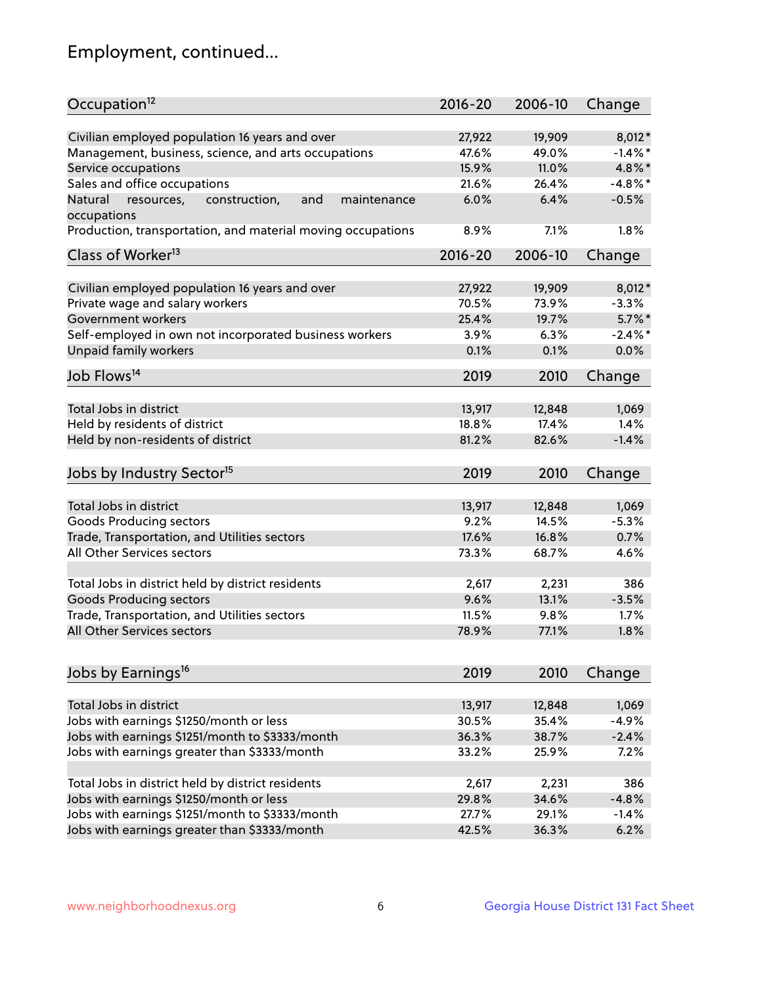## Employment, continued...

| Occupation <sup>12</sup>                                                    | $2016 - 20$ | 2006-10 | Change     |
|-----------------------------------------------------------------------------|-------------|---------|------------|
| Civilian employed population 16 years and over                              | 27,922      | 19,909  | $8,012*$   |
| Management, business, science, and arts occupations                         | 47.6%       | 49.0%   | $-1.4\%$ * |
| Service occupations                                                         | 15.9%       | 11.0%   | 4.8%*      |
| Sales and office occupations                                                | 21.6%       | 26.4%   | $-4.8\%$ * |
|                                                                             | 6.0%        | 6.4%    |            |
| Natural<br>and<br>resources,<br>construction,<br>maintenance<br>occupations |             |         | $-0.5%$    |
| Production, transportation, and material moving occupations                 | 8.9%        | 7.1%    | 1.8%       |
| Class of Worker <sup>13</sup>                                               | $2016 - 20$ | 2006-10 | Change     |
|                                                                             |             |         |            |
| Civilian employed population 16 years and over                              | 27,922      | 19,909  | $8,012*$   |
| Private wage and salary workers                                             | 70.5%       | 73.9%   | $-3.3%$    |
| Government workers                                                          | 25.4%       | 19.7%   | $5.7\%$ *  |
| Self-employed in own not incorporated business workers                      | 3.9%        | 6.3%    | $-2.4\%$ * |
| Unpaid family workers                                                       | 0.1%        | 0.1%    | 0.0%       |
| Job Flows <sup>14</sup>                                                     | 2019        | 2010    | Change     |
|                                                                             |             |         |            |
| Total Jobs in district                                                      | 13,917      | 12,848  | 1,069      |
| Held by residents of district                                               | 18.8%       | 17.4%   | 1.4%       |
| Held by non-residents of district                                           | 81.2%       | 82.6%   | $-1.4%$    |
| Jobs by Industry Sector <sup>15</sup>                                       | 2019        | 2010    | Change     |
|                                                                             |             |         |            |
| Total Jobs in district                                                      | 13,917      | 12,848  | 1,069      |
| Goods Producing sectors                                                     | 9.2%        | 14.5%   | $-5.3%$    |
| Trade, Transportation, and Utilities sectors                                | 17.6%       | 16.8%   | 0.7%       |
| All Other Services sectors                                                  | 73.3%       | 68.7%   | 4.6%       |
|                                                                             |             |         |            |
| Total Jobs in district held by district residents                           | 2,617       | 2,231   | 386        |
| <b>Goods Producing sectors</b>                                              | 9.6%        | 13.1%   | $-3.5%$    |
| Trade, Transportation, and Utilities sectors                                | 11.5%       | 9.8%    | 1.7%       |
| All Other Services sectors                                                  | 78.9%       | 77.1%   | 1.8%       |
|                                                                             |             |         |            |
| Jobs by Earnings <sup>16</sup>                                              | 2019        | 2010    | Change     |
| Total Jobs in district                                                      | 13,917      | 12,848  | 1,069      |
| Jobs with earnings \$1250/month or less                                     | 30.5%       | 35.4%   | $-4.9%$    |
|                                                                             |             |         | $-2.4%$    |
| Jobs with earnings \$1251/month to \$3333/month                             | 36.3%       | 38.7%   |            |
| Jobs with earnings greater than \$3333/month                                | 33.2%       | 25.9%   | 7.2%       |
| Total Jobs in district held by district residents                           | 2,617       | 2,231   | 386        |
| Jobs with earnings \$1250/month or less                                     | 29.8%       | 34.6%   | $-4.8%$    |
| Jobs with earnings \$1251/month to \$3333/month                             | 27.7%       | 29.1%   | $-1.4%$    |
| Jobs with earnings greater than \$3333/month                                | 42.5%       | 36.3%   | 6.2%       |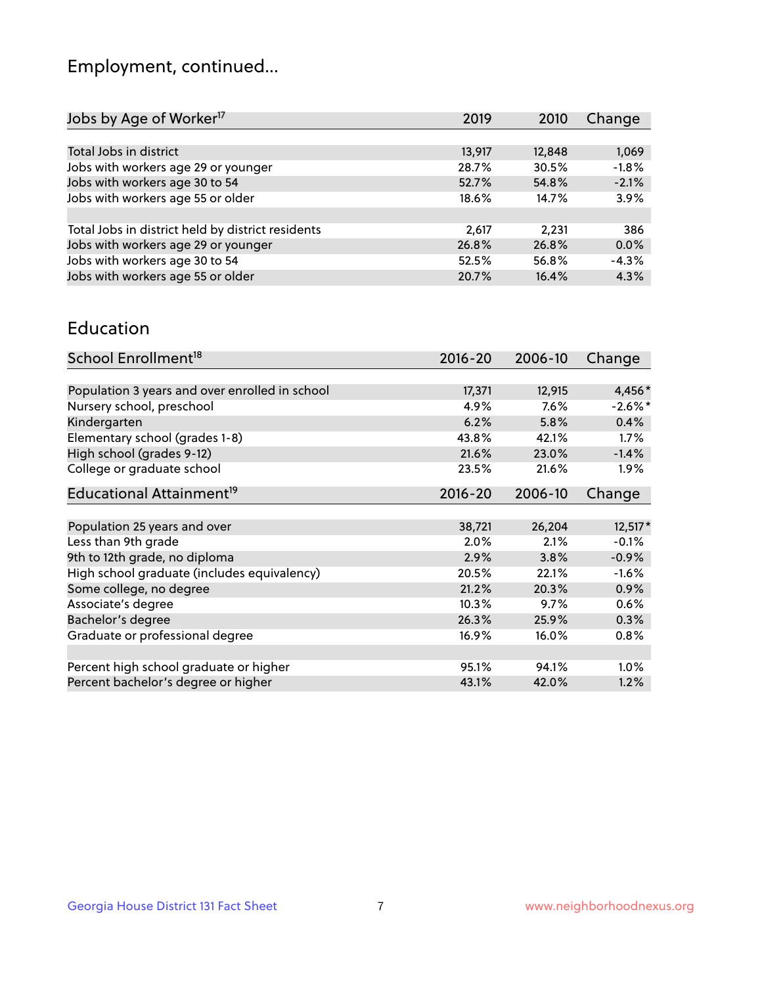## Employment, continued...

| Jobs by Age of Worker <sup>17</sup>               | 2019   | 2010   | Change  |
|---------------------------------------------------|--------|--------|---------|
|                                                   |        |        |         |
| Total Jobs in district                            | 13,917 | 12,848 | 1,069   |
| Jobs with workers age 29 or younger               | 28.7%  | 30.5%  | $-1.8%$ |
| Jobs with workers age 30 to 54                    | 52.7%  | 54.8%  | $-2.1%$ |
| Jobs with workers age 55 or older                 | 18.6%  | 14.7%  | 3.9%    |
|                                                   |        |        |         |
| Total Jobs in district held by district residents | 2,617  | 2,231  | 386     |
| Jobs with workers age 29 or younger               | 26.8%  | 26.8%  | 0.0%    |
| Jobs with workers age 30 to 54                    | 52.5%  | 56.8%  | $-4.3%$ |
| Jobs with workers age 55 or older                 | 20.7%  | 16.4%  | 4.3%    |
|                                                   |        |        |         |

#### Education

| School Enrollment <sup>18</sup>                | $2016 - 20$ | 2006-10 | Change     |
|------------------------------------------------|-------------|---------|------------|
|                                                |             |         |            |
| Population 3 years and over enrolled in school | 17,371      | 12,915  | 4,456*     |
| Nursery school, preschool                      | 4.9%        | 7.6%    | $-2.6\%$ * |
| Kindergarten                                   | 6.2%        | 5.8%    | 0.4%       |
| Elementary school (grades 1-8)                 | 43.8%       | 42.1%   | 1.7%       |
| High school (grades 9-12)                      | 21.6%       | 23.0%   | $-1.4%$    |
| College or graduate school                     | 23.5%       | 21.6%   | $1.9\%$    |
| Educational Attainment <sup>19</sup>           | $2016 - 20$ | 2006-10 | Change     |
|                                                |             |         |            |
| Population 25 years and over                   | 38,721      | 26,204  | 12,517*    |
| Less than 9th grade                            | 2.0%        | 2.1%    | $-0.1%$    |
| 9th to 12th grade, no diploma                  | 2.9%        | 3.8%    | $-0.9%$    |
| High school graduate (includes equivalency)    | 20.5%       | 22.1%   | $-1.6%$    |
| Some college, no degree                        | 21.2%       | 20.3%   | 0.9%       |
| Associate's degree                             | 10.3%       | 9.7%    | $0.6\%$    |
| Bachelor's degree                              | 26.3%       | 25.9%   | 0.3%       |
| Graduate or professional degree                | 16.9%       | 16.0%   | $0.8\%$    |
|                                                |             |         |            |
| Percent high school graduate or higher         | 95.1%       | 94.1%   | 1.0%       |
| Percent bachelor's degree or higher            | 43.1%       | 42.0%   | 1.2%       |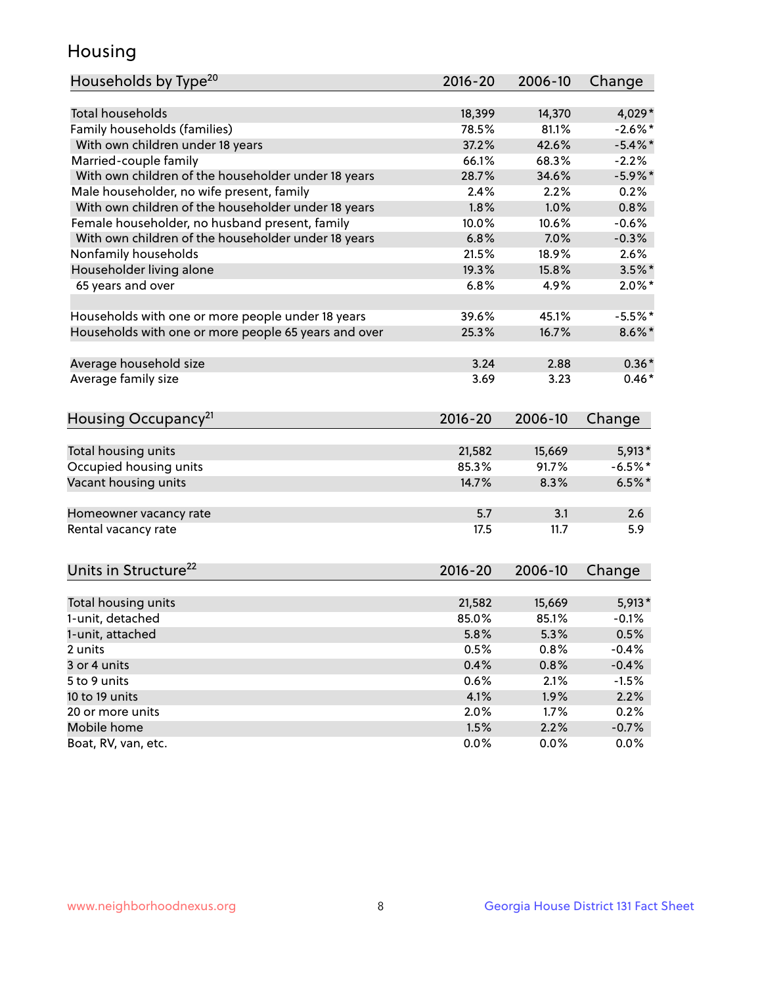## Housing

| Households by Type <sup>20</sup>                     | 2016-20     | 2006-10 | Change     |
|------------------------------------------------------|-------------|---------|------------|
|                                                      |             |         |            |
| <b>Total households</b>                              | 18,399      | 14,370  | 4,029*     |
| Family households (families)                         | 78.5%       | 81.1%   | $-2.6\%$ * |
| With own children under 18 years                     | 37.2%       | 42.6%   | $-5.4\%$ * |
| Married-couple family                                | 66.1%       | 68.3%   | $-2.2%$    |
| With own children of the householder under 18 years  | 28.7%       | 34.6%   | $-5.9\%$ * |
| Male householder, no wife present, family            | 2.4%        | 2.2%    | 0.2%       |
| With own children of the householder under 18 years  | 1.8%        | 1.0%    | 0.8%       |
| Female householder, no husband present, family       | 10.0%       | 10.6%   | $-0.6%$    |
| With own children of the householder under 18 years  | 6.8%        | 7.0%    | $-0.3%$    |
| Nonfamily households                                 | 21.5%       | 18.9%   | 2.6%       |
| Householder living alone                             | 19.3%       | 15.8%   | $3.5\%$ *  |
| 65 years and over                                    | 6.8%        | 4.9%    | $2.0\%$ *  |
|                                                      |             |         |            |
| Households with one or more people under 18 years    | 39.6%       | 45.1%   | $-5.5%$ *  |
| Households with one or more people 65 years and over | 25.3%       | 16.7%   | $8.6\%$ *  |
|                                                      |             |         |            |
| Average household size                               | 3.24        | 2.88    | $0.36*$    |
| Average family size                                  | 3.69        | 3.23    | $0.46*$    |
|                                                      |             |         |            |
| Housing Occupancy <sup>21</sup>                      | $2016 - 20$ | 2006-10 | Change     |
| Total housing units                                  | 21,582      | 15,669  | $5,913*$   |
| Occupied housing units                               | 85.3%       | 91.7%   | $-6.5%$ *  |
| Vacant housing units                                 | 14.7%       | 8.3%    | $6.5%$ *   |
|                                                      |             |         |            |
| Homeowner vacancy rate                               | 5.7         | 3.1     | 2.6        |
| Rental vacancy rate                                  | 17.5        | 11.7    | 5.9        |
|                                                      |             |         |            |
| Units in Structure <sup>22</sup>                     | $2016 - 20$ | 2006-10 | Change     |
|                                                      |             |         |            |
| Total housing units                                  | 21,582      | 15,669  | $5,913*$   |
| 1-unit, detached                                     | 85.0%       | 85.1%   | $-0.1%$    |
| 1-unit, attached                                     | 5.8%        | 5.3%    | 0.5%       |
| 2 units                                              | 0.5%        | 0.8%    | $-0.4%$    |
| 3 or 4 units                                         | 0.4%        | 0.8%    | $-0.4%$    |
| 5 to 9 units                                         | $0.6\%$     | 2.1%    | $-1.5%$    |
| 10 to 19 units                                       | 4.1%        | 1.9%    | 2.2%       |
| 20 or more units                                     | 2.0%        | 1.7%    | 0.2%       |
| Mobile home                                          | 1.5%        | 2.2%    | $-0.7%$    |
| Boat, RV, van, etc.                                  | 0.0%        | 0.0%    | 0.0%       |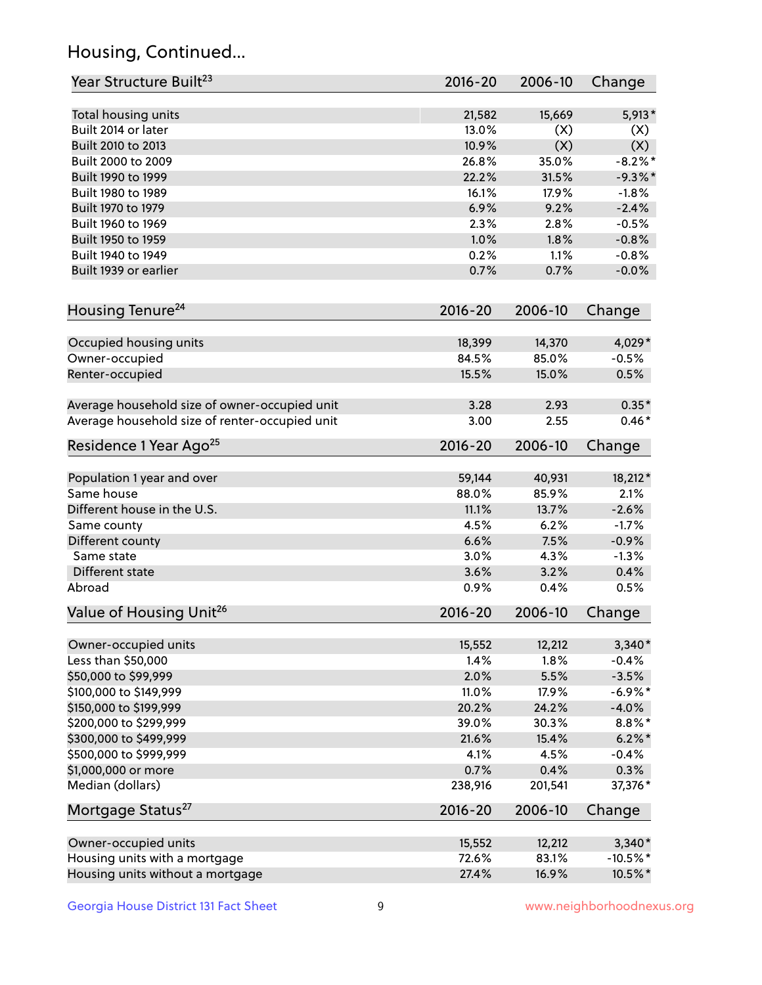## Housing, Continued...

| Year Structure Built <sup>23</sup>             | 2016-20     | 2006-10 | Change     |
|------------------------------------------------|-------------|---------|------------|
| Total housing units                            | 21,582      | 15,669  | 5,913*     |
| Built 2014 or later                            | 13.0%       | (X)     | (X)        |
| Built 2010 to 2013                             | 10.9%       | (X)     | (X)        |
| Built 2000 to 2009                             | 26.8%       | 35.0%   | $-8.2\%$ * |
| Built 1990 to 1999                             | 22.2%       | 31.5%   | $-9.3\%$ * |
| Built 1980 to 1989                             | 16.1%       | 17.9%   | $-1.8%$    |
| Built 1970 to 1979                             | 6.9%        | 9.2%    | $-2.4%$    |
| Built 1960 to 1969                             | 2.3%        | 2.8%    | $-0.5%$    |
| Built 1950 to 1959                             | 1.0%        | 1.8%    | $-0.8%$    |
| Built 1940 to 1949                             | 0.2%        | 1.1%    | $-0.8%$    |
| Built 1939 or earlier                          | 0.7%        | 0.7%    | $-0.0%$    |
| Housing Tenure <sup>24</sup>                   | $2016 - 20$ | 2006-10 | Change     |
| Occupied housing units                         | 18,399      | 14,370  | 4,029*     |
| Owner-occupied                                 | 84.5%       | 85.0%   | $-0.5%$    |
| Renter-occupied                                | 15.5%       | 15.0%   | 0.5%       |
| Average household size of owner-occupied unit  | 3.28        | 2.93    | $0.35*$    |
| Average household size of renter-occupied unit | 3.00        | 2.55    | $0.46*$    |
| Residence 1 Year Ago <sup>25</sup>             | $2016 - 20$ | 2006-10 | Change     |
| Population 1 year and over                     | 59,144      | 40,931  | 18,212*    |
| Same house                                     | 88.0%       | 85.9%   | 2.1%       |
| Different house in the U.S.                    | 11.1%       | 13.7%   | $-2.6%$    |
| Same county                                    | 4.5%        | 6.2%    | $-1.7%$    |
| Different county                               | 6.6%        | 7.5%    | $-0.9%$    |
| Same state                                     | 3.0%        | 4.3%    | $-1.3%$    |
| Different state                                | 3.6%        | 3.2%    | 0.4%       |
| Abroad                                         | 0.9%        | 0.4%    | 0.5%       |
| Value of Housing Unit <sup>26</sup>            | $2016 - 20$ | 2006-10 | Change     |
| Owner-occupied units                           | 15,552      | 12,212  | $3,340*$   |
| Less than \$50,000                             | 1.4%        | 1.8%    | $-0.4%$    |
| \$50,000 to \$99,999                           | 2.0%        | 5.5%    | $-3.5%$    |
| \$100,000 to \$149,999                         | 11.0%       | 17.9%   | $-6.9\%$ * |
| \$150,000 to \$199,999                         | 20.2%       | 24.2%   | $-4.0%$    |
| \$200,000 to \$299,999                         | 39.0%       | 30.3%   | $8.8\%$ *  |
| \$300,000 to \$499,999                         | 21.6%       | 15.4%   | $6.2\%$ *  |
| \$500,000 to \$999,999                         | 4.1%        | 4.5%    | $-0.4%$    |
| \$1,000,000 or more                            | 0.7%        | 0.4%    | 0.3%       |
| Median (dollars)                               | 238,916     | 201,541 | 37,376*    |
| Mortgage Status <sup>27</sup>                  | $2016 - 20$ | 2006-10 | Change     |
| Owner-occupied units                           | 15,552      | 12,212  | $3,340*$   |
| Housing units with a mortgage                  | 72.6%       | 83.1%   | $-10.5%$ * |
| Housing units without a mortgage               | 27.4%       | 16.9%   | 10.5%*     |
|                                                |             |         |            |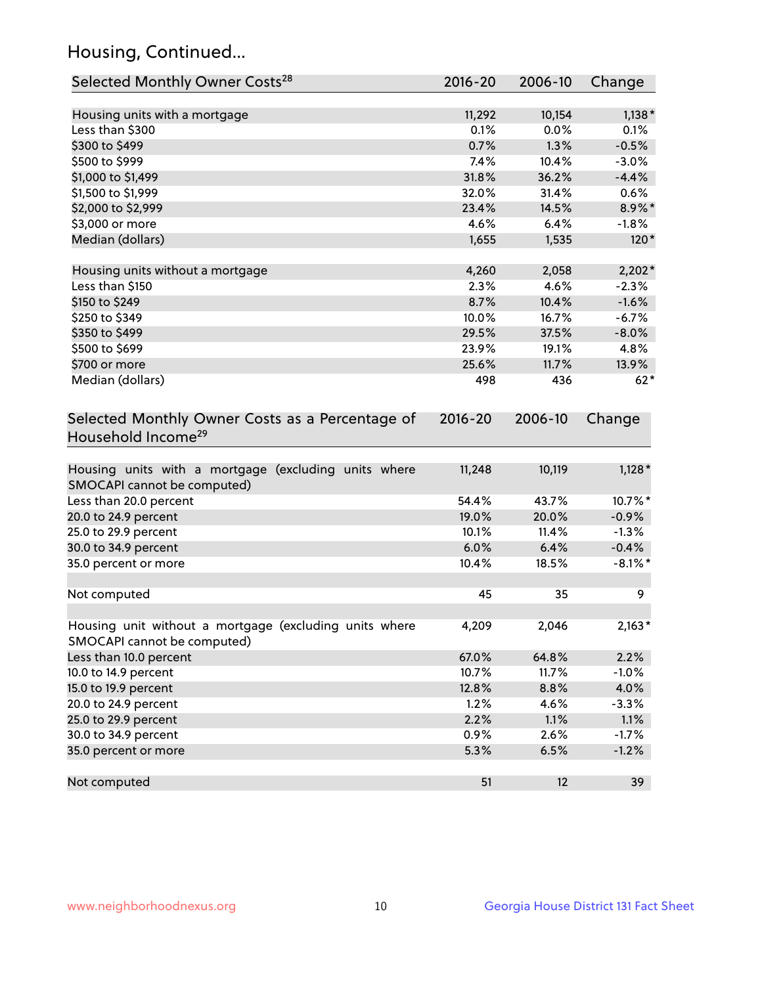## Housing, Continued...

| Selected Monthly Owner Costs <sup>28</sup>                                            | 2016-20     | 2006-10 | Change     |
|---------------------------------------------------------------------------------------|-------------|---------|------------|
| Housing units with a mortgage                                                         | 11,292      | 10,154  | $1,138*$   |
| Less than \$300                                                                       | 0.1%        | 0.0%    | 0.1%       |
| \$300 to \$499                                                                        | 0.7%        | 1.3%    | $-0.5%$    |
| \$500 to \$999                                                                        | 7.4%        | 10.4%   | $-3.0%$    |
| \$1,000 to \$1,499                                                                    | 31.8%       | 36.2%   | $-4.4%$    |
| \$1,500 to \$1,999                                                                    | 32.0%       | 31.4%   | 0.6%       |
| \$2,000 to \$2,999                                                                    | 23.4%       | 14.5%   | 8.9%*      |
| \$3,000 or more                                                                       | 4.6%        | 6.4%    | $-1.8%$    |
| Median (dollars)                                                                      | 1,655       | 1,535   | $120*$     |
| Housing units without a mortgage                                                      | 4,260       | 2,058   | $2,202*$   |
| Less than \$150                                                                       | 2.3%        | 4.6%    | $-2.3%$    |
| \$150 to \$249                                                                        | 8.7%        | 10.4%   | $-1.6%$    |
| \$250 to \$349                                                                        | 10.0%       | 16.7%   | $-6.7%$    |
| \$350 to \$499                                                                        | 29.5%       | 37.5%   | $-8.0%$    |
| \$500 to \$699                                                                        | 23.9%       | 19.1%   | 4.8%       |
| \$700 or more                                                                         | 25.6%       | 11.7%   | 13.9%      |
| Median (dollars)                                                                      | 498         | 436     | $62*$      |
| Selected Monthly Owner Costs as a Percentage of<br>Household Income <sup>29</sup>     | $2016 - 20$ | 2006-10 | Change     |
| Housing units with a mortgage (excluding units where<br>SMOCAPI cannot be computed)   | 11,248      | 10,119  | $1,128*$   |
| Less than 20.0 percent                                                                | 54.4%       | 43.7%   | 10.7%*     |
| 20.0 to 24.9 percent                                                                  | 19.0%       | 20.0%   | $-0.9%$    |
| 25.0 to 29.9 percent                                                                  | 10.1%       | 11.4%   | $-1.3%$    |
| 30.0 to 34.9 percent                                                                  | 6.0%        | 6.4%    | $-0.4%$    |
| 35.0 percent or more                                                                  | 10.4%       | 18.5%   | $-8.1\%$ * |
| Not computed                                                                          | 45          | 35      | 9          |
| Housing unit without a mortgage (excluding units where<br>SMOCAPI cannot be computed) | 4,209       | 2,046   | $2,163*$   |
| Less than 10.0 percent                                                                | 67.0%       | 64.8%   | 2.2%       |
| 10.0 to 14.9 percent                                                                  | 10.7%       | 11.7%   | $-1.0%$    |
| 15.0 to 19.9 percent                                                                  | 12.8%       | 8.8%    | 4.0%       |
| 20.0 to 24.9 percent                                                                  | 1.2%        | 4.6%    | $-3.3%$    |
| 25.0 to 29.9 percent                                                                  | 2.2%        | 1.1%    | 1.1%       |
| 30.0 to 34.9 percent                                                                  | 0.9%        | 2.6%    | $-1.7%$    |
| 35.0 percent or more                                                                  | 5.3%        | 6.5%    | $-1.2%$    |
| Not computed                                                                          | 51          | 12      | 39         |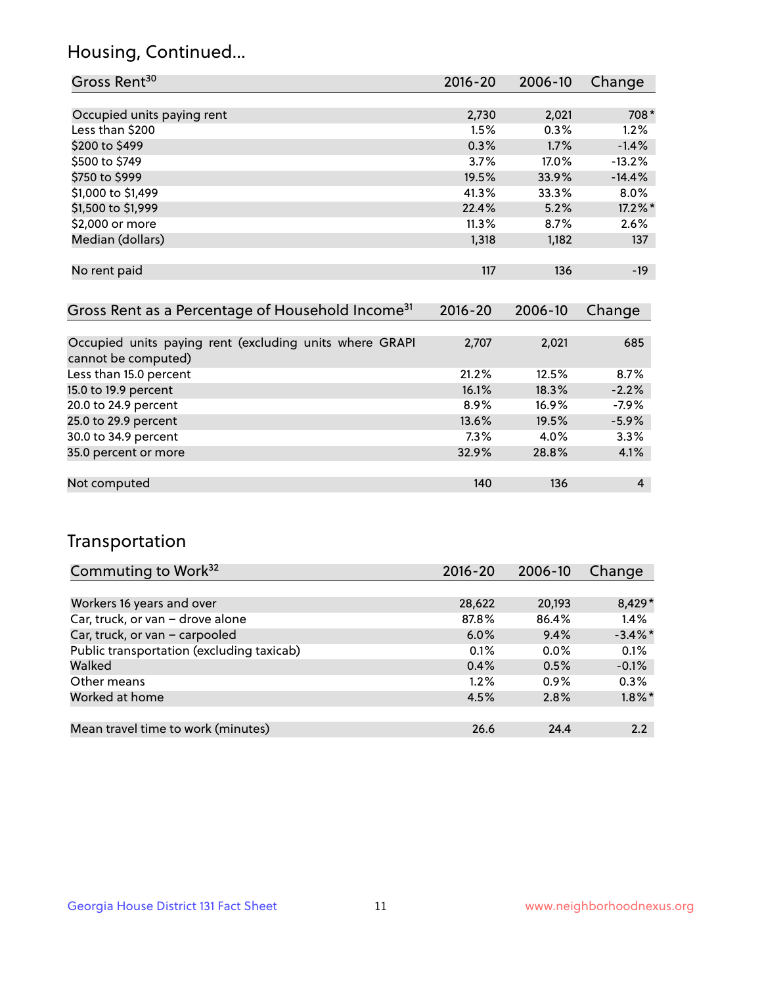## Housing, Continued...

| Gross Rent <sup>30</sup>   | 2016-20 | 2006-10 | Change   |
|----------------------------|---------|---------|----------|
|                            |         |         |          |
| Occupied units paying rent | 2,730   | 2,021   | 708*     |
| Less than \$200            | 1.5%    | 0.3%    | 1.2%     |
| \$200 to \$499             | 0.3%    | 1.7%    | $-1.4%$  |
| \$500 to \$749             | 3.7%    | 17.0%   | $-13.2%$ |
| \$750 to \$999             | 19.5%   | 33.9%   | $-14.4%$ |
| \$1,000 to \$1,499         | 41.3%   | 33.3%   | 8.0%     |
| \$1,500 to \$1,999         | 22.4%   | 5.2%    | 17.2%*   |
| \$2,000 or more            | 11.3%   | 8.7%    | 2.6%     |
| Median (dollars)           | 1,318   | 1,182   | 137      |
|                            |         |         |          |
| No rent paid               | 117     | 136     | $-19$    |
|                            |         |         |          |

| Gross Rent as a Percentage of Household Income <sup>31</sup>                   | $2016 - 20$ | 2006-10  | Change  |
|--------------------------------------------------------------------------------|-------------|----------|---------|
|                                                                                |             |          |         |
| Occupied units paying rent (excluding units where GRAPI<br>cannot be computed) | 2,707       | 2,021    | 685     |
| Less than 15.0 percent                                                         | 21.2%       | 12.5%    | 8.7%    |
| 15.0 to 19.9 percent                                                           | 16.1%       | 18.3%    | $-2.2%$ |
| 20.0 to 24.9 percent                                                           | $8.9\%$     | $16.9\%$ | $-7.9%$ |
| 25.0 to 29.9 percent                                                           | 13.6%       | 19.5%    | $-5.9%$ |
| 30.0 to 34.9 percent                                                           | 7.3%        | 4.0%     | 3.3%    |
| 35.0 percent or more                                                           | 32.9%       | 28.8%    | 4.1%    |
|                                                                                |             |          |         |
| Not computed                                                                   | 140         | 136      | 4       |

## Transportation

| Commuting to Work <sup>32</sup>           | 2016-20 | 2006-10 | Change     |
|-------------------------------------------|---------|---------|------------|
|                                           |         |         |            |
| Workers 16 years and over                 | 28,622  | 20,193  | $8,429*$   |
| Car, truck, or van - drove alone          | 87.8%   | 86.4%   | 1.4%       |
| Car, truck, or van - carpooled            | $6.0\%$ | 9.4%    | $-3.4\%$ * |
| Public transportation (excluding taxicab) | 0.1%    | $0.0\%$ | 0.1%       |
| Walked                                    | 0.4%    | 0.5%    | $-0.1%$    |
| Other means                               | $1.2\%$ | $0.9\%$ | 0.3%       |
| Worked at home                            | 4.5%    | 2.8%    | $1.8\%$ *  |
|                                           |         |         |            |
| Mean travel time to work (minutes)        | 26.6    | 24.4    | 2.2        |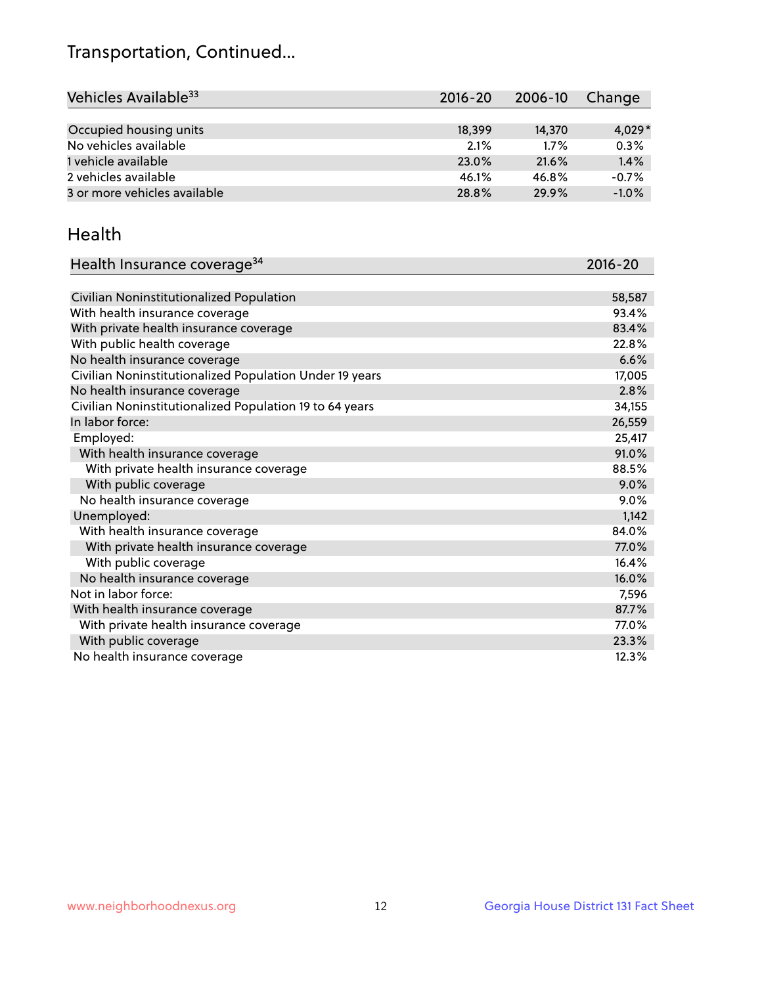## Transportation, Continued...

| Vehicles Available <sup>33</sup> | $2016 - 20$ | 2006-10 | Change   |
|----------------------------------|-------------|---------|----------|
|                                  |             |         |          |
| Occupied housing units           | 18,399      | 14,370  | $4,029*$ |
| No vehicles available            | 2.1%        | 1.7%    | 0.3%     |
| 1 vehicle available              | 23.0%       | 21.6%   | 1.4%     |
| 2 vehicles available             | 46.1%       | 46.8%   | $-0.7%$  |
| 3 or more vehicles available     | 28.8%       | 29.9%   | $-1.0%$  |

#### Health

| Health Insurance coverage <sup>34</sup>                 | 2016-20 |
|---------------------------------------------------------|---------|
|                                                         |         |
| Civilian Noninstitutionalized Population                | 58,587  |
| With health insurance coverage                          | 93.4%   |
| With private health insurance coverage                  | 83.4%   |
| With public health coverage                             | 22.8%   |
| No health insurance coverage                            | 6.6%    |
| Civilian Noninstitutionalized Population Under 19 years | 17,005  |
| No health insurance coverage                            | 2.8%    |
| Civilian Noninstitutionalized Population 19 to 64 years | 34,155  |
| In labor force:                                         | 26,559  |
| Employed:                                               | 25,417  |
| With health insurance coverage                          | 91.0%   |
| With private health insurance coverage                  | 88.5%   |
| With public coverage                                    | 9.0%    |
| No health insurance coverage                            | 9.0%    |
| Unemployed:                                             | 1,142   |
| With health insurance coverage                          | 84.0%   |
| With private health insurance coverage                  | 77.0%   |
| With public coverage                                    | 16.4%   |
| No health insurance coverage                            | 16.0%   |
| Not in labor force:                                     | 7,596   |
| With health insurance coverage                          | 87.7%   |
| With private health insurance coverage                  | 77.0%   |
| With public coverage                                    | 23.3%   |
| No health insurance coverage                            | 12.3%   |